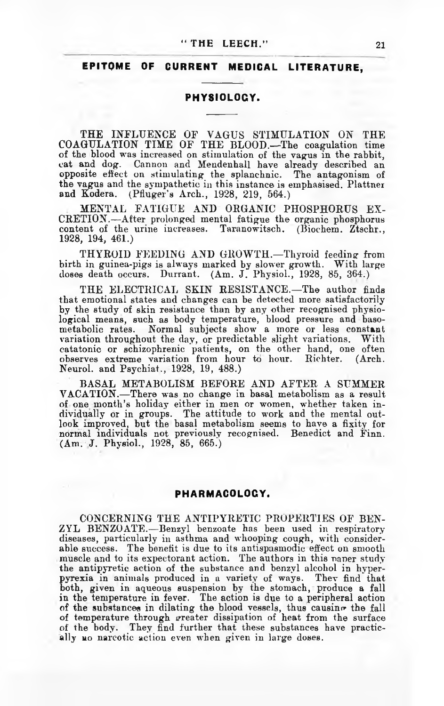### **" THE LEECH." 21**

# EPITOME OF CURRENT MEDICAL LITERATURE,

#### PHYSIOLOGY.

THE INFLUENCE OF VAGUS STIMULATION ON THE COAGULATION TIME OF THE BLOOD.—The coagulation time of the blood was increased on stimulation of the vagus in the rabbit, cat and dog. Cannon and Mendenhall have already described an opposite effect on stimulating the splanchnic. The antagonism of the vagus and the sympathetic in this instance is emphasised. Plattner<br>and Kodera. (Pfluger's Arch., 1928, 219, 564.) (Pfluger's Arch., 1928, 219, 564.)

MENTAL FATIGUE AND ORGANIC PHOSPHORUS EX-CRETION.—After prolonged mental fatigue the organic phosphorus content of the urine increases. Taranowitsch. (Biochem. Ztschr., 1928, 194, 461.)

THYROID FEEDING AND GROWTH.—Thyroid feeding from birth in guinea-pigs is always marked by slower growth. With large doses death occurs. Durrant. (Am. J. Physiol., 1928, 85, 364.)

THE ELECTRICAL SKIN RESISTANCE.—The author finds that emotional states and changes can be detected more satisfactorily by the study of skin resistance than by any other recognised physiological means, such as body temperature, blood pressure and basometabolic rates. Normal subjects show a more or less constant variation throughout the day, or predictable slight variations. With catatonic or schizophrenic patients, on the other hand, one often observes extreme variation from hour to hour. Richter. (Arch. Neurol, and Psychiat., 1928, 19, 488.)

BASAL METABOLISM BEFORE AND AFTER A SUMMER VACATION.—There was no change in basal metabolism as a result of one month's holiday either in men or women, whether taken individually or in groups. The attitude to work and the mental outlook improved, but the basal metabolism seems to have a fixity for normal individuals not previously recognised. Benedict and Finn. (Am. J. Physiol., 1928, 85, 665.)

# PHARMACOLOGY.

CONCERNING THE ANTIPYRETIC PROPERTIES OF BEN-ZYL BENZOATE.—Benzyl benzoate has been used in respiratory diseases, particularly in asthma and whooping cough, with considerable success. The benefit is due to its antispasmodic effect on smooth muscle and to its expectorant action. The authors in this naner study the antipyretic action of the substance and benzyl alcohol in hyperpyrexia in animals produced in a variety of ways. Thev find that both, given in aqueous suspension by the stomach, produce a fall in the temperature in fever. The action is due to a peripheral action of the substances in dilating the blood vessels, thus causino the fall of temperature through greater dissipation of heat from the surface of the body. They find further that these substances have practically no narcotic action even when given in large doses.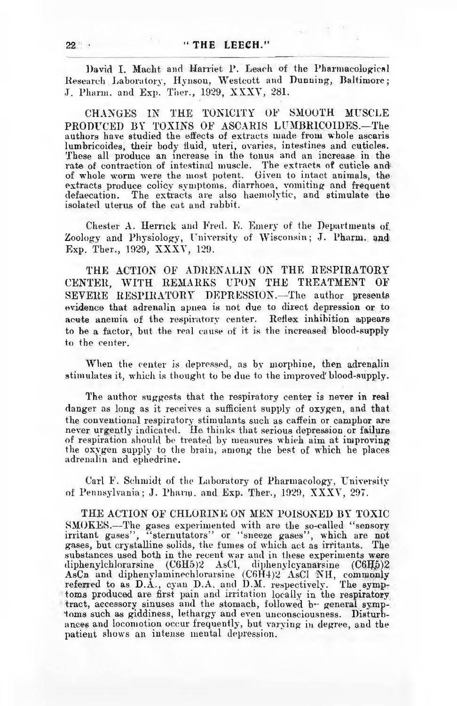David I. Macht and Harriet P. Leach of the Pharmacological Research Laboratory, Hynson, Westcott and Dunning, Baltimore; J. Pharm. and Exp. Ther., 1929, XXXV, 281.

CHANGES IN THE TONICITY OF SMOOTH MUSCLE PRODUCED BY TOXINS OF ASCARIS LUMBR1C0IDES.—The authors have studied the effects of extracts made from whole ascaris lumbricoides, their body fluid, uteri, ovaries, intestines and cuticles. These all produce an increase in the tonus and an increase in the rate of contraction of intestinal muscle. The extracts of cuticle and of whole worm were the most potent. Given to intact animals, the extracts produce colicy symptoms, diarrhoea, vomiting and frequent defaecation. The extracts are also haemolytic, and stimulate the isolated uterus of the cat and rabbit.

Chester A. Herrick and Fred. E. Emery of the Departments of. Zoologv and Physiology, University of Wisconsin; J. Pharm. and Exp. Ther., 1929, XXXV, 129.

THE ACTION OF ADRENALIN ON THE RESPIRATORY CENTER, WITH REMARKS UPON THE TREATMENT OF SEVERE RESPIRATORY DEPRESSION.—The author presents evidence that adrenalin apnea is not due to direct depression or to acute anemia of the respiratory center. Reflex inhibition appears to be a factor, but the real cause of it is the increased blood-supply to the center.

When the center is depressed, as by morphine, then adrenalin stimulates it, which is thought to be due to the improved'blood-supply.

The author suggests that the respiratory center is never in real danger as long as it receives a sufficient supply of oxygen, and that the conventional respiratory stimulants such as caffein or camphor are never urgently indicated. He thinks that serious depression or failure of respiration should be treated by measures which aim at improving the oxygen supply to the brain, among the best of which he places adrenalin and ephedrine.

Carl F. Schmidt of the Laboratory of Pharmacology, University of Pennsylvania; J. Pharm. and Exp. Ther., 1929, XXXY, 297.

THE ACTION OF CHLORINE ON MEN POISONED BY TOXIC SMOKES.—The gases experimented with are the so-called " sensory irritant gases", "sternutators" or "sneeze gases", which are not gases, but crystalline solids, the fumes of which act as irritants. The substances used both in the recent war and in these experiments were diphenylchlorarsine  $(C6H5)2$  AsCl, diphenylcyanarsine  $(C6H5)2$ AsCn and diphenylaminechlorarsine (C6H4)2 AsCl NH, commonly referred to as D.A., cyan D.A. and D.M. respectively. The symptoms produced are first pain and irritation locally in the respiratory tract, accessory sinuses and the stomach, followed b- general symptoms such as giddiness, lethargy and even unconsciousness. Disturbances and locomotion occur frequently, but varying in degree, and the patient shows an intense mental depression.